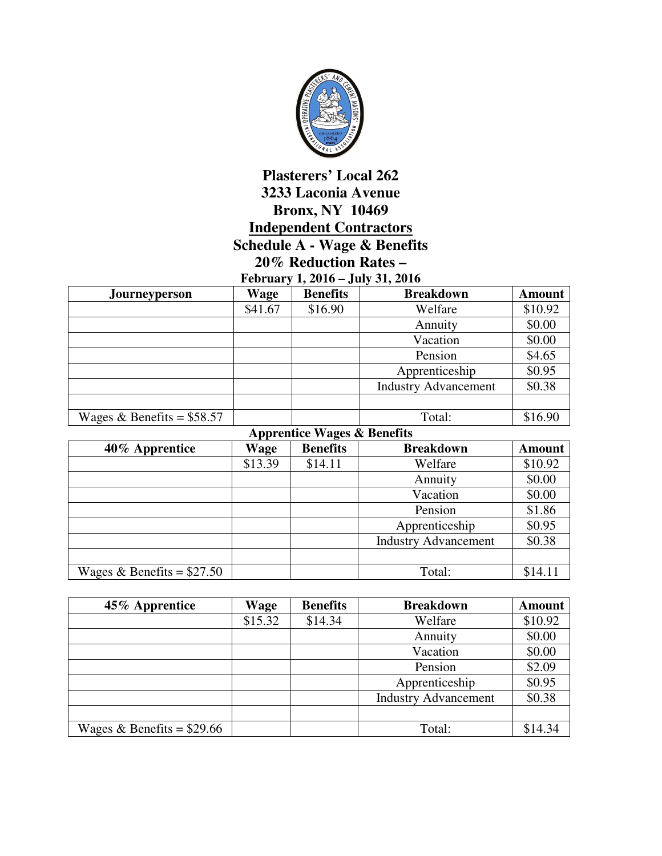

## **Plasterers' Local 262 3233 Laconia Avenue Bronx, NY 10469 Independent Contractors Schedule A - Wage & Benefits 20% Reduction Rates – February 1, 2016 – July 31, 2016**

| $F$ cut dat $y = 4010 - 301y - 31$ , $2010$ |             |                 |                             |               |  |
|---------------------------------------------|-------------|-----------------|-----------------------------|---------------|--|
| Journeyperson                               | <b>Wage</b> | <b>Benefits</b> | <b>Breakdown</b>            | <b>Amount</b> |  |
|                                             | \$41.67     | \$16.90         | Welfare                     | \$10.92       |  |
|                                             |             |                 | Annuity                     | \$0.00        |  |
|                                             |             |                 | Vacation                    | \$0.00        |  |
|                                             |             |                 | Pension                     | \$4.65        |  |
|                                             |             |                 | Apprenticeship              | \$0.95        |  |
|                                             |             |                 | <b>Industry Advancement</b> | \$0.38        |  |
|                                             |             |                 |                             |               |  |
| Wages & Benefits = $$58.57$                 |             |                 | Total:                      | \$16.90       |  |

| <b>Apprentice Wages &amp; Benefits</b> |         |                 |                             |               |  |
|----------------------------------------|---------|-----------------|-----------------------------|---------------|--|
| 40% Apprentice                         | Wage    | <b>Benefits</b> | <b>Breakdown</b>            | <b>Amount</b> |  |
|                                        | \$13.39 | \$14.11         | Welfare                     | \$10.92       |  |
|                                        |         |                 | Annuity                     | \$0.00        |  |
|                                        |         |                 | Vacation                    | \$0.00        |  |
|                                        |         |                 | Pension                     | \$1.86        |  |
|                                        |         |                 | Apprenticeship              | \$0.95        |  |
|                                        |         |                 | <b>Industry Advancement</b> | \$0.38        |  |
|                                        |         |                 |                             |               |  |
| Wages & Benefits = $$27.50$            |         |                 | Total:                      | \$14.11       |  |

| 45% Apprentice              | Wage    | <b>Benefits</b> | <b>Breakdown</b>            | <b>Amount</b> |
|-----------------------------|---------|-----------------|-----------------------------|---------------|
|                             | \$15.32 | \$14.34         | Welfare                     | \$10.92       |
|                             |         |                 | Annuity                     | \$0.00        |
|                             |         |                 | Vacation                    | \$0.00        |
|                             |         |                 | Pension                     | \$2.09        |
|                             |         |                 | Apprenticeship              | \$0.95        |
|                             |         |                 | <b>Industry Advancement</b> | \$0.38        |
|                             |         |                 |                             |               |
| Wages & Benefits = $$29.66$ |         |                 | Total:                      | \$14.34       |